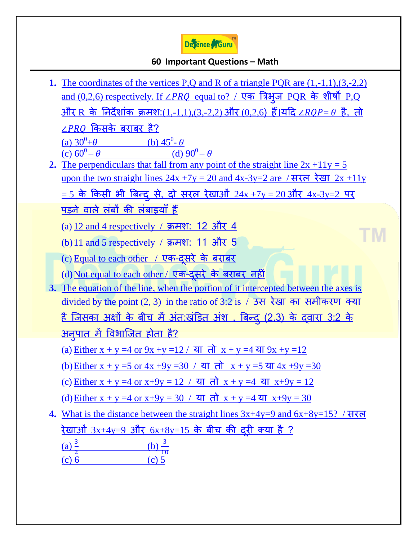

## **60 Important Questions – Math**

**1.** The coordinates of the vertices P,Q and R of a triangle PQR are  $(1,-1,1),(3,-2,2)$  $% \sigma (0,1)$  and (0,2,6) respectively. If  $\angle PRQ\>$  equal to? / एक त्रिक्षुज PQR के शीषों P,Q <u>और R के निर्देशांक क्रमश:[\(1,-1,1\),\(3,-2,2\)](https://www.defenceguru.co.in/) और (0,2,6) हैं।यदि  $\angle RQP = \theta$  है, तो</u>  $LPRO$  किसके बराबर है? (a)  $30^0 + \theta$  (b)  $45^0$ (b)  $45^\circ$ - $\theta$ (c)  $60^0 - \theta$  $-\theta$  (d)  $90^0 - \theta$ **2.** The perpendiculars that fall from any point of the straight line  $2x +11y = 5$ upon the two straight lines  $24x +7y = 20$  and  $4x-3y=2$  are / सरल रेखा  $2x+11y$  $=$  5 के किसी भी बिन्दु से, दो सरल रेखाओं  $24x +7y = 20$ ओर  $4x$ -3y=2 पर <u>पड़ने वाले लंबों की लंबाइयाँ हैं</u> (a)  $12$  and 4 respectively / क्रमश: 12 और 4 TМ (b) 11 and 5 respectively / क्रमश: 11 और 5 (c) [Equal to each other /](https://www.defenceguru.co.in/) एक-दसरे के बराबर  $(d)$  Not equal to each other / एक-दसरे के बराबर नहीं **3.** [The equation of the line, when the portion of it intercepted between the axes is](https://www.defenceguru.co.in/)  divided by the point  $(2, 3)$  in the ratio of 3:2 is / उस रेखा का समीकरण क्या <u>है जिसका अक्षों के बीच में अंत:खंडित अंश , बिन्द (2,3) के दवारा 3:2 के </u> <u>अनुपात में विभाजित होता है?</u> (a) Either  $x + y = 4$  or  $9x + y = 12 / 4$  and  $x + y = 4$  and  $9x + y = 12$ (b) Either  $x + y = 5$  or  $4x + 9y = 30 / 3$  and  $x + y = 5$  and  $4x + 9y = 30$ (c) Either  $x + y = 4$  or  $x+9y = 12 / \overline{y} \overline{f} \overline{f} \overline{f} \overline{f} \overline{f} \overline{f} \overline{f} \overline{f} \overline{f} \overline{f} \overline{f} \overline{f} \overline{f} \overline{f} \overline{f} \overline{f} \overline{f} \overline{f} \overline{f} \overline{f} \overline{f} \overline{f} \overline{f} \overline{f} \overline{f} \overline{f} \overline{f} \overline{f} \overline{f} \overline{f} \over$ (d) Either  $x + y = 4$  or  $x+9y = 30 / 3$  and  $x + y = 4$  and  $x+9y = 30$ **4.** [What is the distance between the straight lines 3x+4y=9 and 6x+8y=15?](https://www.defenceguru.co.in/) / सयर <u>रेखाओ 3x+4y=9 और 6x+8y=15 के बीच की दूरी क्या है ?</u>  $\frac{a}{2}$  $\frac{1}{1}$ (c)  $6$  (c)  $5$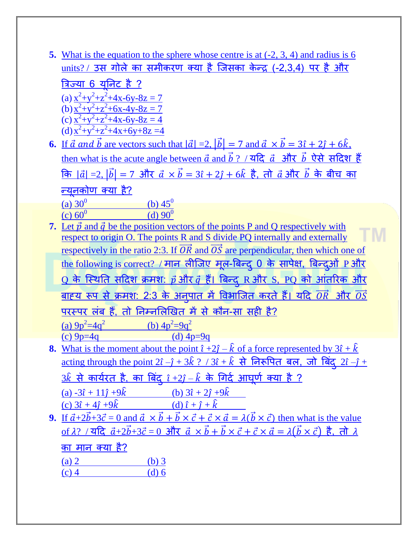**5.** [What is the equation to the sphere whose centre is at \(-2, 3, 4\) and radius is 6](https://www.defenceguru.co.in/)   $units?$  / उस गोले का समीकरण क्या है जिसका केन्द (-2,3,4) पर है और

<u>त्रिज्या 6 यूनिट है ?</u> (a)  $x^2+y^2+z^2+4x-6y-8z=7$ (b)  $x^2+y^2+z^2+6x-4y-8z=7$ (c)  $x^2+y^2+z^2+4x-6y-8z=4$ (d)  $x^2+y^2+z^2+4x+6y+8z=4$ 

**6.** If  $\vec{a}$  and  $\vec{b}$  are vectors such that  $|\vec{a}| = 2$ ,  $|\vec{b}| = 7$  and  $\vec{a} \times \vec{b} = 3\hat{i} + 2\hat{j} + 6\hat{k}$ . [then what is the acute angle between](https://www.defenceguru.co.in/)  $\vec{a}$  and  $\vec{b}$  ? / यदि  $\vec{a}$  और  $\vec{b}$  ऐसे सदिश हैं कि  $|\vec{a}| = 2$ ,  $|\vec{b}| = 7$  और  $\vec{a} \times \vec{b} = 3\hat{i} + 2\hat{j} + 6\hat{k}$  है, तो  $\vec{a}$  और  $\vec{b}$  के बीच का <u>न्यूनकोण क्या है?</u> (a)  $30^0$ (b)  $45^{\circ}$ 

(c)  $60^0$  $(d)$  90<sup>0</sup>

- **7.** Let  $\vec{p}$  and  $\vec{q}$  [be the position vectors of the points P and Q respectively](https://www.defenceguru.co.in/) with [respect to origin O. The points R and S divide PQ internally and externally](https://www.defenceguru.co.in/)  respectively in the ratio 2:3. If  $\overline{OR}$  and  $\overline{OS}$  are perpendicular, then which one of <u>[the following is correct?](https://www.defenceguru.co.in/) / मान लीजिए मूल-बिन्दु 0 के सापेक्ष, बिन्दुओं P और</u> <u>Q के स्थिति सदिश क्रमश:  $\vec{p}$  और  $\vec{q}$  हैं। बिन्दु R और S, PQ को आंतरिक और </u> <u>बाह्य रूप से क्रमश: 2:3 के अनुपात में विभाजित करते हैं। यदि  $\overrightarrow{OR}$  और  $\overrightarrow{OS}$ </u> <u>परस्पर लंब हैं, तो निम्नलिखित में से कौन-सा सही है?</u> (a)  $9p^2=4q^2$ (b)  $4p^2=9q^2$ (c)  $9p=4q$  (d)  $4p=9q$
- **8.** [What is the moment about the point](https://www.defenceguru.co.in/)  $\hat{i} + 2\hat{j} \hat{k}$  of a force represented by  $3\hat{i} + \hat{k}$ <u>[acting through the point 2](https://www.defenceguru.co.in/) $\hat{i} - \hat{j} + 3\hat{k}$  ? / 3 $\hat{i} + \hat{k}$  से निरूपित बल, जो बिंदु 2 $\hat{i} - \hat{j} + \hat{k}$ </u> <u>3 $\hat{k}$  से कार्यरत है, का बिंदु  $\hat{\imath}$  +2 $\hat{\jmath}$  –  $\hat{k}$  के गिर्द आघूर्ण क्या है ? </u> (a)  $-3\hat{i} + 11\hat{j} + 9\hat{k}$  (b)  $3\hat{i} + 2\hat{j} + 9\hat{k}$ (c)  $3\hat{i} + 4\hat{j} + 9\hat{k}$  [\(d\)](https://www.defenceguru.co.in/)  $\hat{i} + \hat{j} + \hat{k}$
- **9.** If  $\vec{a}+2\vec{b}+3\vec{c}=0$  and  $\vec{a} \times \vec{b}+\vec{b} \times \vec{c}+\vec{c} \times \vec{a}=\lambda(\vec{b} \times \vec{c})$  then what is the value <u>of  $\lambda$ ? / यदि  $\vec{a}+2\vec{b}+3\vec{c}=0$  और  $\vec{a} \times \vec{b}+\vec{b} \times \vec{c}+\vec{c} \times \vec{a}=\lambda(\vec{b} \times \vec{c})$  है, तो  $\lambda$ </u> का मान क्या है?

| $(a)$ 2 | $(b)$ 3 |
|---------|---------|
| $(c)$ 4 | $(d)$ 6 |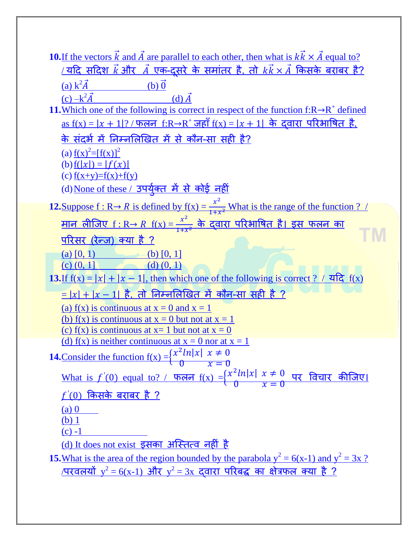| 10. If the vectors k and A are parallel to each other, then what is $kk \times A$ equal to?                                               |
|-------------------------------------------------------------------------------------------------------------------------------------------|
| <u>यदि सदिश <math>\vec{k}</math> और <math>\vec{A}</math> एक-दूसरे के समांतर है, तो <math>k\vec{k}\times\vec{A}</math> किसके बराबर है?</u> |
| (a) $k^2 \vec{A}$<br>$(b)$ <sup><math>\vec{0}</math></sup>                                                                                |
| $(c) -k^2 \vec{A}$<br>$(d)$ $\vec{A}$                                                                                                     |
| 11. Which one of the following is correct in respect of the function $f:R\rightarrow R^+$ defined                                         |
| <u>as f(x) =  x + 1 ? / फलन f:R→R<sup>+</sup> जहाँ f(x) =  x + 1   के  दवारा  परिभाषित  है,</u>                                           |
| <u>के संदर्भ में निम्नलिखित में से कौन-सा सही है?</u>                                                                                     |
| (a) $f(x)^{2} = [f(x)]^{2}$                                                                                                               |
| (b) $f( x ) =  f(x) $                                                                                                                     |
| (c) $f(x+y)=f(x)+f(y)$                                                                                                                    |
| (d) None of these / उपर्युक्त में से कोई नहीं                                                                                             |
| 12. Suppose $f: R \rightarrow R$ is defined by $f(x) = \frac{x^2}{1+x^2}$ What is the range of the function ?                             |
| <u>मान लीजिए f : R→ R f(x) = <math>\frac{x^2}{1+x^2}</math> के द्वारा परिभाषित है। इस फलन का</u>                                          |
|                                                                                                                                           |
| <u>परिसर (रेन्ज) क्या है ?</u>                                                                                                            |
| (a) $[0, 1)$<br>$-(b)$ [0, 1]                                                                                                             |
| $(d)$ $(0, 1)$<br>$(c)$ $(0, 1)$<br>13. If $f(x) =  x  +  x - 1 $ , then which one of the following is correct ? / यदि $f(x)$             |
|                                                                                                                                           |
| $\frac{1}{2} =  x  +  x - 1 $ है, तो निम्नलिखित में कौन-सा सही है ?                                                                       |
| (a) $f(x)$ is continuous at $x = 0$ and $x = 1$                                                                                           |
| (b) f(x) is continuous at $x = 0$ but not at $x = 1$<br>(c) $f(x)$ is continuous at $x = 1$ but not at $x = 0$                            |
| (d) f(x) is neither continuous at $x = 0$ nor at $x = 1$                                                                                  |
| <b>14.</b> Consider the function $f(x) = \begin{cases} x^2 \ln x  & x \neq 0 \\ 0 & x = 0 \end{cases}$                                    |
|                                                                                                                                           |
| What is $f'(0)$ equal to? / फलन $f(x) = \begin{cases} x^2 \ln x  & x \neq 0 \\ 0 & x = 0 \end{cases}$ पर विचार कीजिए                      |
| <u>f'(0) किसके बराबर है ?</u>                                                                                                             |
| $(a)$ 0                                                                                                                                   |
| $(b)$ 1                                                                                                                                   |
| $(c) -1$                                                                                                                                  |
| <u>(d) It does not exist इसका अस्तित्व नहीं है</u>                                                                                        |
| <b>15.</b> What is the area of the region bounded by the parabola $y^2 = 6(x-1)$ and $y^2 = 3x$ ?                                         |
| <u>/परवलयों <math>y^2 = 6(x-1)</math> और <math>y^2 = 3x</math> दवारा परिबद्ध का क्षेत्रफल क्या है ?</u>                                   |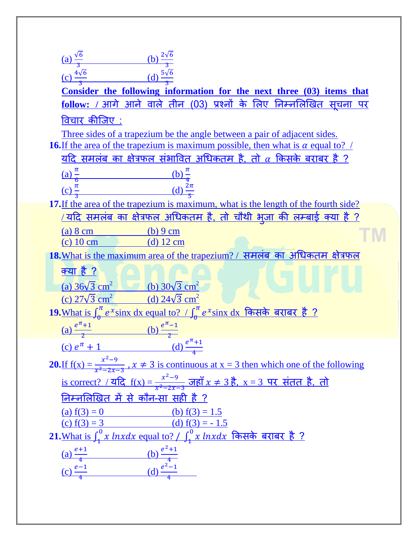(a)  $\frac{\sqrt{6}}{3}$  [\(b\)](https://www.defenceguru.co.in/)  $\frac{2\sqrt{6}}{3}$ (c)  $\frac{4\sqrt{6}}{3}$  [\(d\)](https://www.defenceguru.co.in/)  $\frac{5\sqrt{6}}{3}$ **[Consider the following information for the next three \(03\) items that](https://www.defenceguru.co.in/)**  <u>follow: / आगे आने वाले तीन (03) प्रश्नों के लिए निम्नलिखित सूचना पर</u> विचार कीजिए : [Three sides of a trapezium be the angle between a pair of adjacent sides.](https://www.defenceguru.co.in/) **16.**If the area of the trapezium is maximum possible, then what is  $\alpha$  equal to? / यदि समलंब का क्षेत्रफल संभावित अधिकतम है, तो  $\alpha$  किसके बराबर है ?  $\frac{\pi}{2}$  $\frac{(b)}{4}$  $\overline{6}$ (c)  $\frac{\pi}{3}$  [\(d\)](https://www.defenceguru.co.in/)  $\frac{2\pi}{5}$ **17.**[If the area of the trapezium is maximum, what is the length of the fourth side?](https://www.defenceguru.co.in/)  <u>/ यदि समलंब का क्षेत्रफल अधिकतम है, तो चौथी भुजा की लम्बाई क्या है ?</u> (a) 8 cm [\(b\) 9 cm](https://www.defenceguru.co.in/) ГM (c) 10 cm [\(d\) 12 cm](https://www.defenceguru.co.in/) 18. [What is the maximum area of the trapezium? /](https://www.defenceguru.co.in/) समलंब का अधिकतम क्षेत्रफल [क्म है ?](https://www.defenceguru.co.in/) (a)  $36\sqrt{3}$  cm<sup>2</sup> (b)  $30\sqrt{3}$  cm<sup>2</sup> (c)  $27\sqrt{3} \text{ cm}^2$  (d)  $24\sqrt{3} \text{ cm}^2$ **19.**What is  $\int_{0}^{\pi} e$  $\frac{\sigma^{\pi}}{2}e^{\chi}$ sinx dx equal to? /  $\int_0^{\pi}e^{\chi}$  $\frac{n}{6}$  $e^{\chi}$  $\sin$ x  $\mathrm{d}$ x किसके बराबर है ?  $\frac{e^{\pi}}{2}$  $\frac{e^{t}+1}{2}$  [\(b\)](https://www.defenceguru.co.in/)  $\frac{e^{\pi}}{2}$  $\overline{z}$ (c)  $e^{\pi} + 1$  [\(d\)](https://www.defenceguru.co.in/)  $e^{\pi}$ 4 **20.**<u>If  $f(x) = \frac{x^2}{x^2}$ </u>  $\frac{x-9}{x^2-2x-3}$ ,  $x \ne 3$  is continuous at  $x = 3$  then which one of the following <u>is correct? / यदि  $f(x) = \frac{x^2}{x^2}$ </u>  $\frac{x-9}{x^2-2x-3}$  जहाँ  $x \neq 3$  है,  $x = 3$  पर संतत है, तो निम्नलिखित में से कौन-सा सही है ? (a)  $f(3) = 0$  (b)  $f(3) = 1.5$ (c)  $f(3) = 3$  (d)  $f(3) = -1.5$ <u>21.What is ∫ γ lnxdx equal to? / ∫ γ lnxdx किसके बराबर है ?</u> (a)  $\frac{e+1}{4}$  [\(b\)](https://www.defenceguru.co.in/)  $\frac{e^2}{4}$  $\frac{1}{4}$ [\(c\)](https://www.defenceguru.co.in/)  $\frac{e-1}{4}$  (d)  $\frac{e^2}{4}$  $\frac{-1}{4}$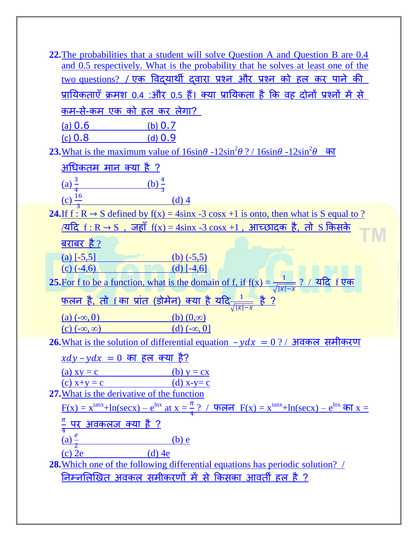| <b>22.</b> The probabilities that a student will solve Question A and Question B are 0.4                                            |
|-------------------------------------------------------------------------------------------------------------------------------------|
| and 0.5 respectively. What is the probability that he solves at least one of the                                                    |
| <u>two questions? / एक विदयार्थी दवारा प्रश्न और प्रश्न को हल कर पाने की </u>                                                       |
| <u>प्रायिकताएँ क्रमश 0.4 :और 0.5 हैं। क्या प्रायिकता है कि वह दोनों प्रश्नों में से </u>                                            |
| <u>कम-से-कम एक को हल कर लेगा?</u>                                                                                                   |
| <u>(a) 0.6</u><br>(b) $0.7$                                                                                                         |
| $(c)$ 0.8<br>(d) $0.9$                                                                                                              |
| 23. What is the maximum value of $16\sin\theta - 12\sin^2\theta$ ? / $16\sin\theta - 12\sin^2\theta$<br>का                          |
| <u>अधिकतम मान क्या है ?</u>                                                                                                         |
| (a) $\frac{3}{4}$<br><u>(b) <math>\frac{4}{7}</math></u>                                                                            |
|                                                                                                                                     |
| $(c)$ <sup>16</sup><br>$(d)$ 4                                                                                                      |
| <b>24.</b> If $f : R \to S$ defined by $f(x) = 4\sin x - 3\cos x + 1$ is onto, then what is S equal to ?                            |
| <u> ∕यदि f : R → S  ,  जहाँ  f(x) = 4sinx -3 cosx +1  ,  आच्छादक  है,  तो  S किसके</u>                                              |
| <u>बराबर है ?</u>                                                                                                                   |
| (a) $[-5,5]$<br>(b) $(-5,5)$                                                                                                        |
| (d) $[-4,6]$<br>(c) $(-4,6)$                                                                                                        |
| 25. For f to be a function, what is the domain of f, if $f(x) = \frac{1}{\sqrt{ x  - x}}$ ? $\sqrt{ x }$                            |
| <u>फलन है, तो f का प्रांत (डोमेन) क्या है यदि<math>\frac{1}{\sqrt{ \chi } - \chi}</math> है ?</u>                                   |
| $(a)$ $(-\infty, 0)$<br>(b) $(0, \infty)$                                                                                           |
| $(c)$ $(-\infty, \infty)$<br>(d) $(-\infty, 0]$                                                                                     |
| <u>26. What is the solution of differential equation <math>-ydx = 0</math> ? / अवकल समीकरण</u>                                      |
| $xdy - ydx = 0$ का हल क्या है?                                                                                                      |
| $(b) y = cx$<br>(a) $xy = c$                                                                                                        |
| (c) $x+y = c$ (d) $x-y=c$                                                                                                           |
| 27. What is the derivative of the function                                                                                          |
| $F(x) = x^{\tan x} + \ln(\sec x) - e^{\ln x}$ at $x = \frac{\pi}{4}$ ? / फलन $F(x) = x^{\tan x} + \ln(\sec x) - e^{\ln x}$ का $x =$ |
| $\frac{\pi}{4}$ पर अवकलज क्या है ?                                                                                                  |
| (a) $\frac{e}{2}$ (b) e                                                                                                             |
| (c) $2e$ (d) $4e$                                                                                                                   |
| 28. Which one of the following differential equations has periodic solution? /                                                      |
| <u>निम्नलिखित अवकल समीकरणों में से किसका आवर्ती हल है ?</u>                                                                         |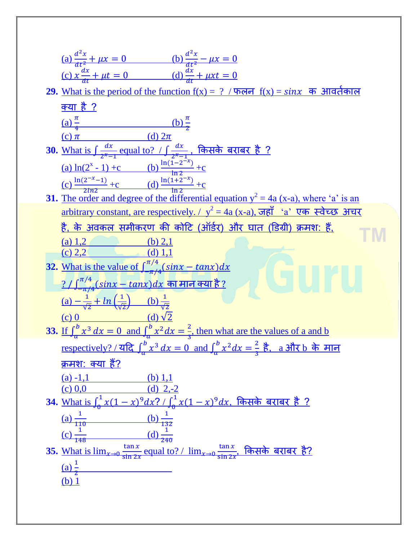| (a) $\frac{d^2x}{dt^2} + \mu x = 0$ (b) $\frac{d^2x}{dt^2} - \mu x = 0$                                                        |
|--------------------------------------------------------------------------------------------------------------------------------|
| (c) $x \frac{dx}{dt} + \mu t = 0$ (d) $\frac{dx}{dt} + \mu x t = 0$                                                            |
| 29. What is the period of the function $f(x) = ? / \sqrt{4}$ $f(x) = \sin x$ क आवर्तकाल                                        |
| <u>क्या है ?</u>                                                                                                               |
| (a) $\frac{\pi}{4}$ (b) $\frac{\pi}{2}$                                                                                        |
|                                                                                                                                |
| (c) $\pi$ (d) $2\pi$<br>30. What is $\int \frac{dx}{z^x-1}$ equal to? $\int \frac{dx}{z^x-1}$ , किसके बराबर है ?               |
| (a) $\ln(2^{x} - 1) + c$ (b) $\frac{\ln(1 - 2^{-x})}{\ln 2} + c$                                                               |
| (c) $\frac{\ln(2^{-x}-1)}{2n^2}$ + c (d) $\frac{\ln(1+2^{-x})}{\ln 2}$ + c                                                     |
| <b>31.</b> The order and degree of the differential equation $y^2 = 4a$ (x-a), where 'a' is an                                 |
| <u>arbitrary constant, are respectively. / <math>y^2 = 4a</math> (x-a), जहाँ 'a' एक स्वेच्छ अचर</u>                            |
| <u>है, के अवकल समीकरण की कोटि (ऑर्डर) और घात (डिग्री) क्रमश: हैं,</u>                                                          |
| (a) $1,2$ (b) $2,1$                                                                                                            |
| (c) 2,2 (d) 1,1                                                                                                                |
| 32. What is the value of $\int_{-\pi/4}^{\pi/4} (sin x - tan x) dx$                                                            |
| <u>? / <math>\int_{-\pi/4}^{\pi/4} (sinx - tanx) dx</math> का मान क्या है ?</u>                                                |
| (a) $-\frac{1}{\sqrt{2}} + ln(\frac{1}{\sqrt{2}})$ (b) $\frac{1}{\sqrt{2}}$                                                    |
|                                                                                                                                |
| (c) 0 (d) $\sqrt{2}$<br>33. If $\int_a^b x^3 dx = 0$ and $\int_a^b x^2 dx = \frac{2}{3}$ , then what are the values of a and b |
| <u>respectively? / यदि <math>\int_a^b x^3 dx = 0</math> and <math>\int_a^b x^2 dx = \frac{2}{3}</math> है, a और b के मान</u>   |
| <u>क्रमश: क्या हैं?</u>                                                                                                        |
| $(a) -1,1$<br>(b) $1,1$                                                                                                        |
| (d) $2,-2$<br>$(c)$ 0,0<br>34. What is $\int_{0}^{1} x(1-x)^{9} dx? / \int_{0}^{1} x(1-x)^{9} dx$ , किसके बराबर है ?           |
|                                                                                                                                |
| (a) $\frac{1}{110}$<br><u>(b) <math>\frac{1}{132}</math></u>                                                                   |
| $\frac{1}{148}$<br>$\frac{d}{240}$                                                                                             |
| 35. What is $\lim_{x\to 0} \frac{\tan x}{\sin 2x}$ equal to? / $\lim_{x\to 0} \frac{\tan x}{\sin 2x}$ किसके बराबर है?          |
| (a) $\frac{1}{2}$                                                                                                              |
| $(b)$ 1                                                                                                                        |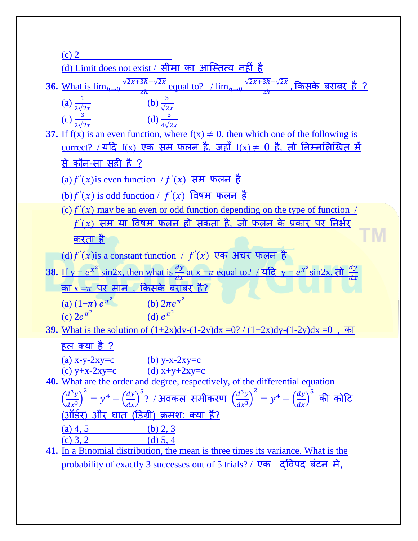| $(c)$ 2                                                                                                                                        |
|------------------------------------------------------------------------------------------------------------------------------------------------|
| <u>(d) Limit does not exist / सीमा का आस्तित्व नहीं है</u>                                                                                     |
| 36. What is $\lim_{h\to 0} \frac{\sqrt{2x+3h}-\sqrt{2x}}{2h}$ equal to? / $\lim_{h\to 0} \frac{\sqrt{2x+3h}-\sqrt{2x}}{2h}$ , किसके बराबर है ? |
| (a) $\frac{1}{2\sqrt{2}x}$ (b) $\frac{3}{\sqrt{2}x}$<br>(c) $\frac{3}{2\sqrt{2}x}$ (d) $\frac{3}{4\sqrt{2}x}$                                  |
|                                                                                                                                                |
| 37. If $f(x)$ is an even function, where $f(x) \neq 0$ , then which one of the following is                                                    |
| <u>correct? / यदि f(x) एक सम फलन है, जहाँ f(x) <math>\neq</math> 0 है, तो निम्नलिखित में </u>                                                  |
| <u>से कौन-सा सही है ?</u>                                                                                                                      |
| (a) $f'(x)$ is even function / $f'(x)$ सम फलन है                                                                                               |
| (b) $f'(x)$ is odd function / $f'(x)$ विषम फलन है                                                                                              |
| (c) $f'(x)$ may be an even or odd function depending on the type of function /                                                                 |
| $f'(x)$ सम या विषम फलन हो सकता है, जो फलन के प्रकार पर निर्भर                                                                                  |
| करता है                                                                                                                                        |
| (d) $f'(x)$ is a constant function / $f'(x)$ एक अचर फलन है                                                                                     |
| 38. If $y = e^{x^2} \sin 2x$ , then what is $\frac{dy}{dx}$ at $x = \pi$ equal to? $\pi$ and $y = e^{x^2} \sin 2x$ , $\pi \frac{dy}{dx}$       |
| <u>का x =<math>\pi</math> पर मान , किसके बराबर है?</u>                                                                                         |
| (a) $(1+\pi) e^{\pi^2}$ (b) $2\pi e^{\pi^2}$<br>(c) $2e^{\pi^2}$ (d) $e^{\pi^2}$                                                               |
|                                                                                                                                                |
| 39. What is the solution of $(1+2x)dy-(1-2y)dx = 0$ ? $(1+2x)dy-(1-2y)dx = 0$ , का                                                             |
| <u>हल क्या है ?</u>                                                                                                                            |
| (a) $x-y-2xy=c$<br>(b) $y-x-2xy=c$                                                                                                             |
| (d) $x+y+2xy=c$<br>(c) $y+x-2xy=c$                                                                                                             |
| 40. What are the order and degree, respectively, of the differential equation                                                                  |
| <u>: १ / अवकल समीकरण <math>\left(\frac{d^3y}{dx^3}\right)^2</math></u><br>$= v^4 + \left(\frac{dy}{dx}\right)^5$<br>की कोटि                    |
| <u>(डिग्री) क्रमश: क्या हैं?</u><br>(ऑर्डर) और घात                                                                                             |
| $(a)$ 4, 5<br>(b) $2, 3$                                                                                                                       |
| $(c)$ 3, 2<br>(d) 5, 4                                                                                                                         |
| 41. In a Binomial distribution, the mean is three times its variance. What is the                                                              |

[probability of exactly 3 successes out of 5 trials? /](https://www.defenceguru.co.in/) एक द्विपद बंटन में,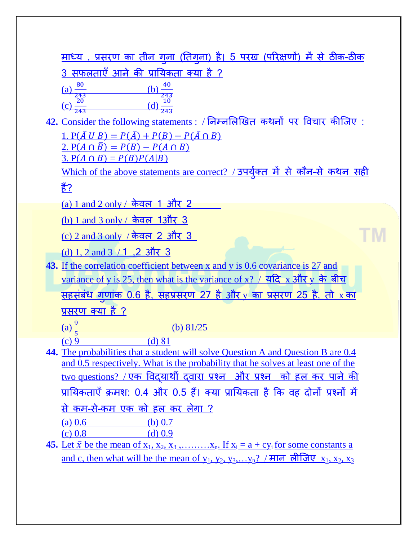| <u>माध्य , प्रसरण का तीन गुना (तिगुना) है। 5 परख (परिक्षणों) में से ठीक-ठीक</u> |  |  |
|---------------------------------------------------------------------------------|--|--|
| 3 सफलताएँ आने की प्रायिकता क्या है ?                                            |  |  |

| 80<br>(a)         | 40  |
|-------------------|-----|
| 243               | 243 |
| 20                | 10  |
| (c <sub>c</sub> ) |     |
| 243               | 443 |

**42.** Consider the following statements : / निम्नलिखित कथनों पर विचार कीजिए : 1.  $P(\overline{A} \cup B) = P(\overline{A}) + P(B) - P(\overline{A} \cap B)$ 2.  $P(A \cap \overline{B}) = P(B) - P(A \cap B)$  $3. P(A \cap B) = P(B)P(A|B)$  $3. P(A \cap B) = P(B)P(A|B)$ 

<u>[Which of the above statements are correct?](https://www.defenceguru.co.in/) / उपयुक्त में से कौन-से कथन सही</u> [हैं?](https://www.defenceguru.co.in/)

ГM

 $(a) 1$  and 2 only / केवल 1 और 2

<u>[\(b\) 1 and 3 only /](https://www.defenceguru.co.in/) केवल 1और 3</u>

(c) 2 and 3 only / [के वर 2 औय 3](https://www.defenceguru.co.in/) 

[\(d\) 1, 2 and 3](https://www.defenceguru.co.in/)  $/1$ , 2 और 3

**43.** [If the correlation coefficient between x and y is 0.6 covariance is 27 and](https://www.defenceguru.co.in/)  [variance of y is 25, then what is the variance of x?](https://www.defenceguru.co.in/) / यदि x और y के बीच <u>सहसंबंध गुणांक 0.6 है, सहप्रसरण 27 है और y का प्रसरण 25 है, तो x का</u> [प्रसयण क्म है ?](https://www.defenceguru.co.in/)  $(a) \frac{9}{5}$ [\(b\) 81/25](https://www.defenceguru.co.in/)  $(c) 9$  (d) 81

**44.** [The probabilities that a student will solve Question A and Question B are 0.4](https://www.defenceguru.co.in/)  [and 0.5 respectively. What is the probability that he solves at least one of the](https://www.defenceguru.co.in/)  <u>two questions? / एक विदयार्थी दवारा प्रश्न और प्रश्न को हल कर पाने की </u> प्रायिकताएँ क्रमश: 0.4 और 0.5 हैं। क्या प्रायिकता है कि वह दोनों प्रश्नों में से कम-से-कम एक को हल कर लेगा ? (a)  $0.6$  (b)  $0.7$  $(c) 0.8$  [\(d\) 0.9](https://www.defenceguru.co.in/)

**45.** Let  $\bar{x}$  be the mean of  $x_1, x_2, x_3, \ldots, x_n$ . If  $x_i = a + cy_i$  for some constants a and c, then what will be the mean of  $y_1, y_2, y_3, \ldots, y_n$ ? / मान लीजिए  $x_1, x_2, x_3$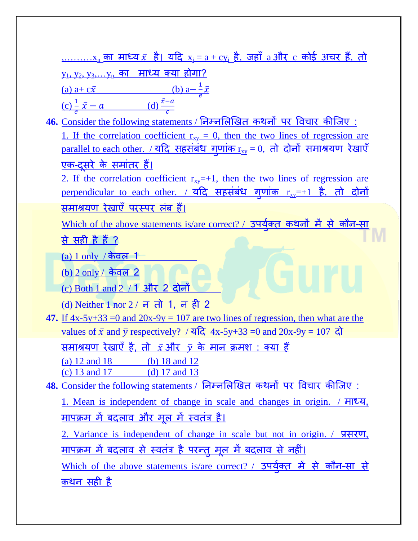|                                                                                                       | <u>,x, का माध्य ऱ है। यदि xi = a + cyi है, जहाँ a और c कोई अचर हैं, तो </u>                                                                                                                                   |  |  |  |  |
|-------------------------------------------------------------------------------------------------------|---------------------------------------------------------------------------------------------------------------------------------------------------------------------------------------------------------------|--|--|--|--|
|                                                                                                       | <u>yı, y2, y3,….yn का माध्य क्या होगा?</u>                                                                                                                                                                    |  |  |  |  |
|                                                                                                       |                                                                                                                                                                                                               |  |  |  |  |
|                                                                                                       | (a) $a + c\bar{x}$ (b) $a - \frac{1}{e}\bar{x}$<br>(c) $\frac{1}{e}\bar{x} - a$ (d) $\frac{\bar{x} - a}{c}$                                                                                                   |  |  |  |  |
|                                                                                                       | <u>46. Consider the following statements / निम्नलिखित कथनों पर विचार कीजिए:</u>                                                                                                                               |  |  |  |  |
|                                                                                                       | 1. If the correlation coefficient $r_{xy} = 0$ , then the two lines of regression are                                                                                                                         |  |  |  |  |
| <u>parallel to each other. / यदि सहसंबंध गुणांक <math>r_{xy} = 0</math>, तो दोनों समाश्रयण रेखाएँ</u> |                                                                                                                                                                                                               |  |  |  |  |
|                                                                                                       | <u>एक-दूसरे के समांतर हैं।</u>                                                                                                                                                                                |  |  |  |  |
|                                                                                                       | 2. If the correlation coefficient $r_{xy} = +1$ , then the two lines of regression are                                                                                                                        |  |  |  |  |
|                                                                                                       | perpendicular to each other. / यदि सहसंबंध गुणांक rxy=+1 है, तो दोनों                                                                                                                                         |  |  |  |  |
|                                                                                                       | <u>समाश्रयण रेखाएँ परस्पर लंब हैं।</u>                                                                                                                                                                        |  |  |  |  |
|                                                                                                       | Which of the above statements is/are correct? / उपर्युक्त कथनों में से कौन-सा                                                                                                                                 |  |  |  |  |
|                                                                                                       | <u>से सही है हैं ?</u>                                                                                                                                                                                        |  |  |  |  |
|                                                                                                       | $(a) 1$ only / केवल 1                                                                                                                                                                                         |  |  |  |  |
|                                                                                                       | <u>(b) 2 only / केवल 2</u>                                                                                                                                                                                    |  |  |  |  |
|                                                                                                       | (c) Both 1 and $2 \neq 1$ और 2 दोनों                                                                                                                                                                          |  |  |  |  |
|                                                                                                       | <u>(d) Neither 1 nor 2 / न तो 1, न ही 2</u>                                                                                                                                                                   |  |  |  |  |
|                                                                                                       | 47. If $4x-5y+33 = 0$ and $20x-9y = 107$ are two lines of regression, then what are the<br><u>values of <math>\bar{x}</math> and <math>\bar{y}</math> respectively? / यदि 4x-5y+33 =0 and 20x-9y = 107 दो</u> |  |  |  |  |
|                                                                                                       | <u>समाश्रयण रेखाएँ है, तो <math>\bar{x}</math>और <math>\bar{y}</math> के मान क्रमश : क्या हैं</u>                                                                                                             |  |  |  |  |
|                                                                                                       | (a) $12$ and $18$<br>(b) 18 and 12                                                                                                                                                                            |  |  |  |  |
|                                                                                                       | (c) 13 and 17<br>(d) $17$ and $13$                                                                                                                                                                            |  |  |  |  |
|                                                                                                       | 48. Consider the following statements / निम्नलिखित कथनों पर विचार कीजिए:                                                                                                                                      |  |  |  |  |
|                                                                                                       | <u>1. Mean is independent of change in scale and changes in origin. / माध्य,</u>                                                                                                                              |  |  |  |  |
|                                                                                                       | <u>मापक्रम में बदलाव और मूल में स्वतंत्र है।</u>                                                                                                                                                              |  |  |  |  |
|                                                                                                       | 2. Variance is independent of change in scale but not in origin. / प्रसरण,                                                                                                                                    |  |  |  |  |
|                                                                                                       | <u>मापक्रम में बदलाव से स्वतंत्र है परन्तु मूल में बदलाव से नहीं।</u>                                                                                                                                         |  |  |  |  |
|                                                                                                       | Which of the above statements is/are correct? / उपर्युक्त में से कौन-सा से                                                                                                                                    |  |  |  |  |
|                                                                                                       | <u>कथन सही है</u>                                                                                                                                                                                             |  |  |  |  |
|                                                                                                       |                                                                                                                                                                                                               |  |  |  |  |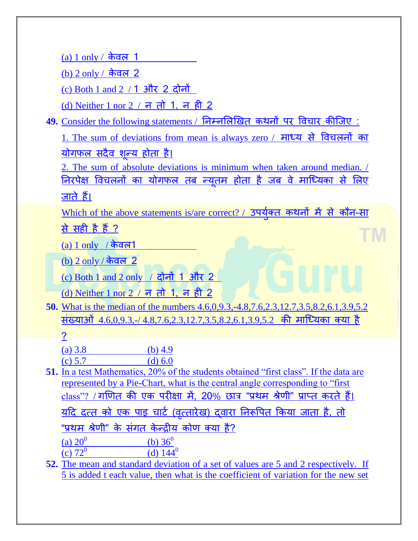(a)  $1$  only  $/$  केवल 1

(b)  $2$  only / केवल  $2$ 

(c) Both 1 and  $2$  / 1 और 2 दोनों

(d) Neither 1 nor 2  $/$  न तो 1, न ही 2

49. Consider the following statements / निम्नलिखित कथनों पर विचार कीजिए :

[1. The sum of deviations from mean is always zero /](https://www.defenceguru.co.in/) माध्य से विचलनों का <u>योगफल सदैव शून्य होता है।</u>

[2. The sum of absolute deviations is minimum when taken around median. /](https://www.defenceguru.co.in/) निरपेक्ष विचलनों का योगफल तब न्यूतम होता है जब वे माध्यिका से लिए जाते हैं।

<u>[Which of the above statements is/are correct? /](https://www.defenceguru.co.in/) उपयुक्त कथनों में से कौन-सा</u> से सही है हैं ? E M

(a)  $1$  only  $/$  केवल1

[\(b\) 2 only /](https://www.defenceguru.co.in/) केवल 2

[\(c\) Both 1 and 2 only](https://www.defenceguru.co.in/) / दोनों 1 औय 2

(d) Neither 1 nor  $2 \sqrt{7}$  न तो 1, न ही 2

**50.** [What is the median of the numbers 4.6,0,9.3,-4.8,7.6,2.3,12.7,3.5,8.2,6.1,3.9,5.2](https://www.defenceguru.co.in/)  संख्याओं 4.6,0,9,3,-/4,8,7,6,2,3,12,7,3,5,8,2,6,1,3,9,5,2 की माध्यिका क्या है

## [?](https://www.defenceguru.co.in/)

| (a) $3.8$ | (b) $4.9$ |
|-----------|-----------|
| (c) $5.7$ | $(d)$ 6.0 |

- **51.** [In a test Mathematics, 20% of the students obtained "first class". If the data are](https://www.defenceguru.co.in/)  [represented by a Pie-Chart, what is the central angle corresponding to "first](https://www.defenceguru.co.in/)   $class$ "? / गणित की एक परीक्षा में, 20% छात्र "प्रथम श्रेणी" प्राप्त करते हैं। <u>यदि दत्त को एक पाइ चार्ट (वत्तारेख) दवारा निरूपित किया जाता है, तो</u> "प्रथम श्रेणी" के संगत केन्द्रीय कोण क्या है? (a)  $20^0$ (b)  $36^0$ (c)  $72^0$ (d)  $144^0$
- **52.** [The mean and standard deviation of a set of values are 5 and 2 respectively. If](https://www.defenceguru.co.in/)  [5 is added t each value, then what is the coefficient of variation for the new set](https://www.defenceguru.co.in/)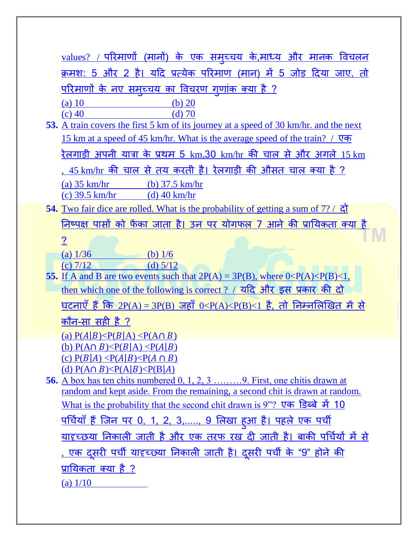| <u>values? / परिमाणों (मानों) के एक समूच्चय के.माध्य और मानक विचलन</u>                                                 |  |  |  |
|------------------------------------------------------------------------------------------------------------------------|--|--|--|
| <u>क्रमश: 5 और 2 है। यदि प्रत्येक परिमाण (मान) में 5 जोड़ दिया जाए. तो</u>                                             |  |  |  |
| <u>परिमाणों के नए समूच्चय का विचरण गुणांक क्या है ?</u>                                                                |  |  |  |
| $(a)$ 10<br>(b) $20$                                                                                                   |  |  |  |
| $(c)$ 40<br>$(d)$ 70                                                                                                   |  |  |  |
| 53. A train covers the first 5 km of its journey at a speed of 30 km/hr. and the next                                  |  |  |  |
| <u>15 km at a speed of 45 km/hr. What is the average speed of the train? / <math>\nabla \Phi</math></u>                |  |  |  |
| <u>रेलगाड़ी अपनी यात्रा के प्रथम 5 km,30 km/hr की चाल से और अगले 15 km</u>                                             |  |  |  |
| <u>, 45 km/hr की चाल से तय करती है। रेलगाड़ी की औसत चाल क्या है ?</u>                                                  |  |  |  |
| $(a)$ 35 km/hr<br>(b) $37.5 \text{ km/hr}$                                                                             |  |  |  |
| $(c)$ 39.5 km/hr<br>(d) $40 \text{ km/hr}$                                                                             |  |  |  |
| 54. Two fair dice are rolled. What is the probability of getting a sum of $7$ ? / $\overline{gl}$                      |  |  |  |
| <u>निष्पक्ष पासों को फेंका जाता है। उन पर योगफल 7 आने की प्रायिकता क्या है</u>                                         |  |  |  |
| $\overline{2}$                                                                                                         |  |  |  |
| (a) $1/36$<br>(b) $1/6$                                                                                                |  |  |  |
| (c) $7/12$<br>(d) $5/12$                                                                                               |  |  |  |
| 55. If A and B are two events such that $2P(A) = 3P(B)$ , where $0 < P(A) < P(B) < 1$ ,                                |  |  |  |
| <u>then which one of the following is correct ? / यदि और इस प्रकार की दो</u>                                           |  |  |  |
| <u>घटनाएँ हैं कि 2P(A) = 3P(B) जहाँ 0<p(a)<p(b)<1 <="" u="" तो="" निम्नलिखित="" में="" से="" है,=""></p(a)<p(b)<1></u> |  |  |  |
| <u>कौन-सा सही है ?</u>                                                                                                 |  |  |  |
| (a) $P(A B) < P(B A) < P(A \cap B)$                                                                                    |  |  |  |
| (b) $P(A \cap B) \leq P(B A) \leq P(A B)$                                                                              |  |  |  |
| <u>(c) <math>P(B A) \leq P(A B) \leq P(A \cap B)</math></u><br>(d) $P(A \cap B) \leq P(A B) \leq P(B A)$               |  |  |  |
|                                                                                                                        |  |  |  |
| random and kept aside. From the remaining, a second chit is drawn at random.                                           |  |  |  |
| <u>What is the probability that the second chit drawn is 9"? एक डिब्बे में 10</u>                                      |  |  |  |
| <u>पर्चियाँ हैं जिन पर 0, 1, 2, 3, 9 लिखा हुआ है। पहले एक पर्ची</u>                                                    |  |  |  |
| <u>यादृच्छया निकाली जाती है और एक तरफ रख दी जाती है। बाकी पर्चियों में से </u>                                         |  |  |  |
| <u>. एक दूसरी पर्ची यादृच्छ्या निकाली जाती है। दूसरी पर्ची के "9" होने की </u>                                         |  |  |  |
| <u>प्रायिकता क्या है ?</u>                                                                                             |  |  |  |
|                                                                                                                        |  |  |  |
| (a) $1/10$                                                                                                             |  |  |  |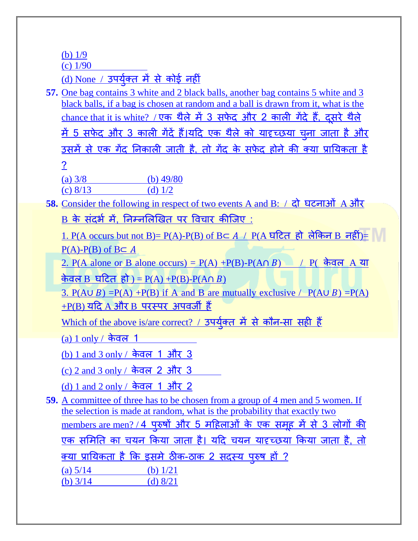[\(b\) 1/9](https://www.defenceguru.co.in/)

[\(c\) 1/90](https://www.defenceguru.co.in/)

<u>[\(d\) None /](https://www.defenceguru.co.in/) उपयुक्त में से कोई नहीं</u>

**57.** [One bag contains 3 white and 2 black balls, another](https://www.defenceguru.co.in/) bag contains 5 white and 3 [black balls, if a bag is chosen at random and a ball is drawn from it, what is the](https://www.defenceguru.co.in/)  [chance that it is white?](https://www.defenceguru.co.in/) / एक थैले में 3 सफेद और 2 काली गेंदे हैं, दसरे थैले <u>में 5 सफेद और 3 काली गेदे हैं।यदि एक थैले को यादृच्छया चुना जाता है और</u> उसमें से एक गेंद निकाली जाती है, तो गेंद के सफेद होने की क्या प्रायिकता है [?](https://www.defenceguru.co.in/)  (a)  $3/8$  (b)  $49/80$ 

(c)  $8/13$  (d)  $1/2$ 

58. [Consider the following in respect of two events A and B:](https://www.defenceguru.co.in/) / दो घटनाओं A और B के संदर्भ में, निम्नलिखित पर विचार कीजिए :

<u>[1. P\(A occurs but not B\)= P\(A\)-P\(B\) of B](https://www.defenceguru.co.in/) $\subset A$  / P(A घटित हो लेकिन B नहीं)=  $\mathbb N$ </u>  $P(A)-P(B)$  of  $B \subset A$ 

[2. P\(A alone or B alone occurs\) = P\(A\) +P\(B\)-P\(A](https://www.defenceguru.co.in/) ) / P( के वर A म

केवल B घटित हो ) =  $P(A)$  + $P(B)$ - $P(A \cap B)$ 

3.  $P(A \cup B) = P(A) + P(B)$  if A and B are mutually exclusive /  $P(A \cup B) = P(A)$  $+P(B)$  यदि A और B परस्पर अपवर्जी हैं

<u>[Which of the above is/are correct?](https://www.defenceguru.co.in/) / उपयुक्त में से कौन-सा सही हैं</u>

 $(a) 1$  only / केवल 1

[\(b\) 1 and 3 only /](https://www.defenceguru.co.in/) केवल 1 और 3

[\(c\) 2 and 3 only /](https://www.defenceguru.co.in/) केवल 2 और 3

[\(d\) 1 and 2 only /](https://www.defenceguru.co.in/) केवल 1 और 2

**59.** [A committee of three has to be chosen from a group of 4 men and 5 women. If](https://www.defenceguru.co.in/)  [the selection is made at random, what is the probability that exactly two](https://www.defenceguru.co.in/)  <u>[members are men? /](https://www.defenceguru.co.in/) 4 पुरुषों और 5 महिलाओं के एक समूह में से 3 लोगों की </u> एक समिति का चयन किया जाता है। यदि चयन यादृच्छया किया जाता है, तो <u>क्या प्रायिकता है कि इसमें ठीक-ठाक 2 सदस्य पुरुष हो ?</u> (a)  $5/14$  (b)  $1/21$ (b)  $3/14$  (d)  $8/21$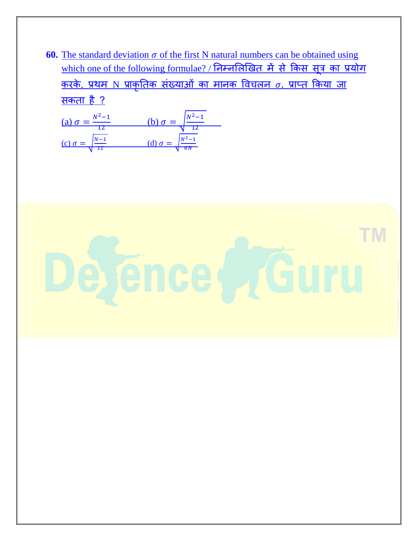**60.** The standard deviation  $\sigma$  of the first N natural numbers can be obtained using <u>[which one of the following formulae? /](https://www.defenceguru.co.in/) निम्नलिखित में से किस सूत्र का प्रयोग</u> <u>करके, प्रथम N प्राकृतिक संख्याओं का मानक विचलन  $\sigma$ , प्राप्त किया जा</u> <u>सकता है ?</u>

(a) 
$$
\sigma = \frac{N^2 - 1}{12}
$$
   
\n(b)  $\sigma = \sqrt{\frac{N^2 - 1}{12}}$   
\n(c)  $\sigma = \sqrt{\frac{N - 1}{12}}$    
\n(d)  $\sigma = \sqrt{\frac{N^2 - 1}{6N}}$